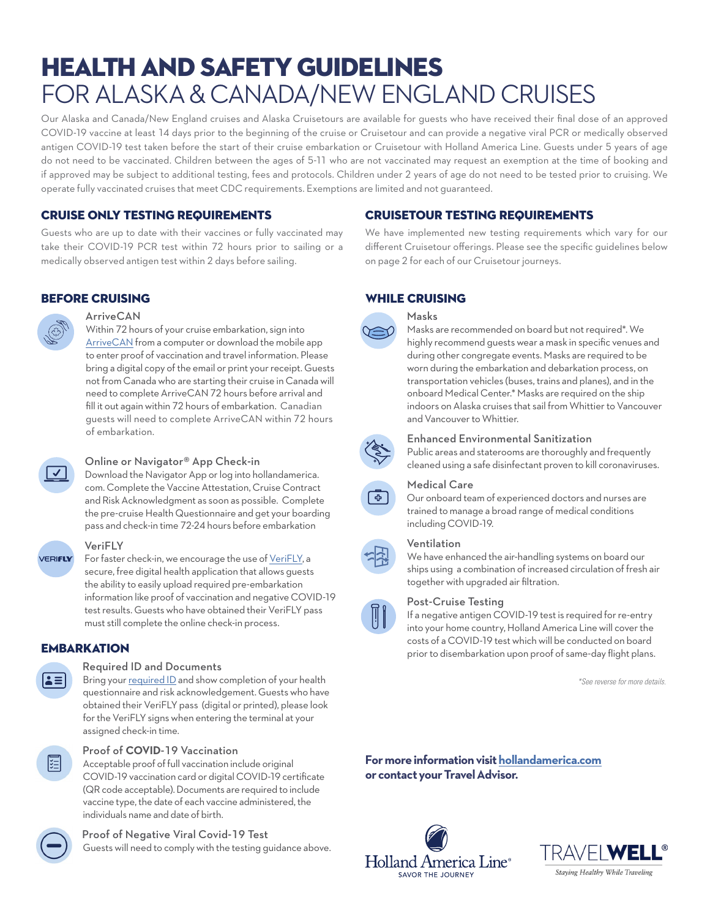# HEALTH AND SAFETY GUIDELINES FOR ALASKA & CANADA/NEW ENGLAND CRUISES

Our Alaska and Canada/New England cruises and Alaska Cruisetours are available for guests who have received their final dose of an approved COVID-19 vaccine at least 14 days prior to the beginning of the cruise or Cruisetour and can provide a negative viral PCR or medically observed antigen COVID-19 test taken before the start of their cruise embarkation or Cruisetour with Holland America Line. Guests under 5 years of age do not need to be vaccinated. Children between the ages of 5-11 who are not vaccinated may request an exemption at the time of booking and if approved may be subject to additional testing, fees and protocols. Children under 2 years of age do not need to be tested prior to cruising. We operate fully vaccinated cruises that meet CDC requirements. Exemptions are limited and not guaranteed.

# CRUISE ONLY TESTING REQUIREMENTS

Guests who are up to date with their vaccines or fully vaccinated may take their COVID-19 PCR test within 72 hours prior to sailing or a medically observed antigen test within 2 days before sailing.

# BEFORE CRUISING



#### **ArriveCAN**

Within 72 hours of your cruise embarkation, sign into [ArriveCAN](https://www.canada.ca/en/public-health/services/diseases/coronavirus-disease-covid-19/arrivecan.html) from a computer or download the mobile app to enter proof of vaccination and travel information. Please bring a digital copy of the email or print your receipt. Guests not from Canada who are starting their cruise in Canada will need to complete ArriveCAN 72 hours before arrival and fill it out again within 72 hours of embarkation. Canadian guests will need to complete ArriveCAN within 72 hours of embarkation.

#### Online or Navigator® App Check-in

Download the Navigator App or log into hollandamerica. com. Complete the Vaccine Attestation, Cruise Contract and Risk Acknowledgment as soon as possible. Complete the pre-cruise Health Questionnaire and get your boarding pass and check-in time 72-24 hours before embarkation



#### VeriFLY

For faster check-in, we encourage the use of [VeriFLY,](https://www.hollandamerica.com/en_US/verifly-app.html) a secure, free digital health application that allows guests the ability to easily upload required pre-embarkation information like proof of vaccination and negative COVID-19 test results. Guests who have obtained their VeriFLY pass must still complete the online check-in process.

# **EMBARKATION**

#### Required ID and Documents

Bring your [required ID](https://www.hollandamerica.com/en_US/faq.cruise-preparation.do-i-need-a-passport.html)and show completion of your health questionnaire and risk acknowledgement. Guests who have obtained their VeriFLY pass (digital or printed), please look for the VeriFLY signs when entering the terminal at your assigned check-in time.



 $\mathbf{a}$ 

#### Proof of **COVID**-19 Vaccination

Acceptable proof of full vaccination include original COVID-19 vaccination card or digital COVID-19 certificate (QR code acceptable). Documents are required to include vaccine type, the date of each vaccine administered, the individuals name and date of birth.

# Proof of Negative Viral Covid-19 Test

Guests will need to comply with the testing guidance above.

# CRUISETOUR TESTING REQUIREMENTS

We have implemented new testing requirements which vary for our different Cruisetour offerings. Please see the specific guidelines below on page 2 for each of our Cruisetour journeys.

#### WHILE CRUISING



#### Masks

Masks are recommended on board but not required\*. We highly recommend guests wear a mask in specific venues and during other congregate events. Masks are required to be worn during the embarkation and debarkation process, on transportation vehicles (buses, trains and planes), and in the onboard Medical Center.\* Masks are required on the ship indoors on Alaska cruises that sail from Whittier to Vancouver and Vancouver to Whittier.



#### Enhanced Environmental Sanitization

Public areas and staterooms are thoroughly and frequently cleaned using a safe disinfectant proven to kill coronaviruses.



### Medical Care

Our onboard team of experienced doctors and nurses are trained to manage a broad range of medical conditions including COVID-19.

#### Ventilation

We have enhanced the air-handling systems on board our ships using a combination of increased circulation of fresh air together with upgraded air filtration.

#### Post-Cruise Testing

If a negative antigen COVID-19 test is required for re-entry into your home country, Holland America Line will cover the costs of a COVID-19 test which will be conducted on board prior to disembarkation upon proof of same-day flight plans.

*\*See reverse for more details.*

**For more information visit [hollandamerica.com](https://www.hollandamerica.com/en_US/worry-free-promise/travel-well/frequently-asked-questions/faq-for-cruises-from-usa.html) or contact your Travel Advisor.**